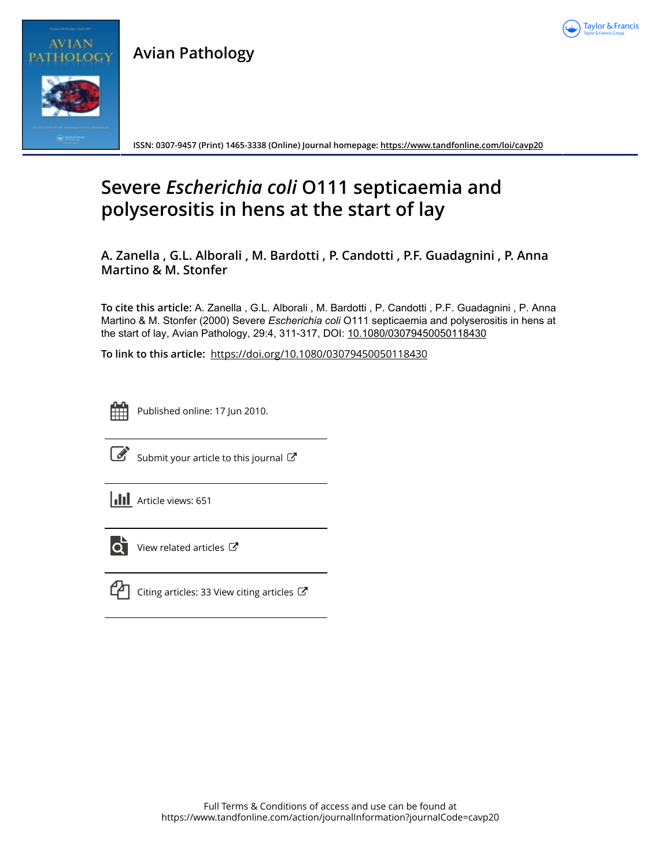

**Avian Pathology**



**ISSN: 0307-9457 (Print) 1465-3338 (Online) Journal homepage:<https://www.tandfonline.com/loi/cavp20>**

## **Severe** *Escherichia coli* **O111 septicaemia and polyserositis in hens at the start of lay**

**A. Zanella , G.L. Alborali , M. Bardotti , P. Candotti , P.F. Guadagnini , P. Anna Martino & M. Stonfer**

**To cite this article:** A. Zanella , G.L. Alborali , M. Bardotti , P. Candotti , P.F. Guadagnini , P. Anna Martino & M. Stonfer (2000) Severe *Escherichia coli* O111 septicaemia and polyserositis in hens at the start of lay, Avian Pathology, 29:4, 311-317, DOI: [10.1080/03079450050118430](https://www.tandfonline.com/action/showCitFormats?doi=10.1080/03079450050118430)

**To link to this article:** <https://doi.org/10.1080/03079450050118430>



Published online: 17 Jun 2010.



[Submit your article to this journal](https://www.tandfonline.com/action/authorSubmission?journalCode=cavp20&show=instructions)  $\mathbb{C}$ 

**III** Article views: 651



 $\overrightarrow{O}$  [View related articles](https://www.tandfonline.com/doi/mlt/10.1080/03079450050118430)  $\overrightarrow{C}$ 



 $\mathbb{C}$  [Citing articles: 33 View citing articles](https://www.tandfonline.com/doi/citedby/10.1080/03079450050118430#tabModule)  $\mathbb{C}^{\bullet}$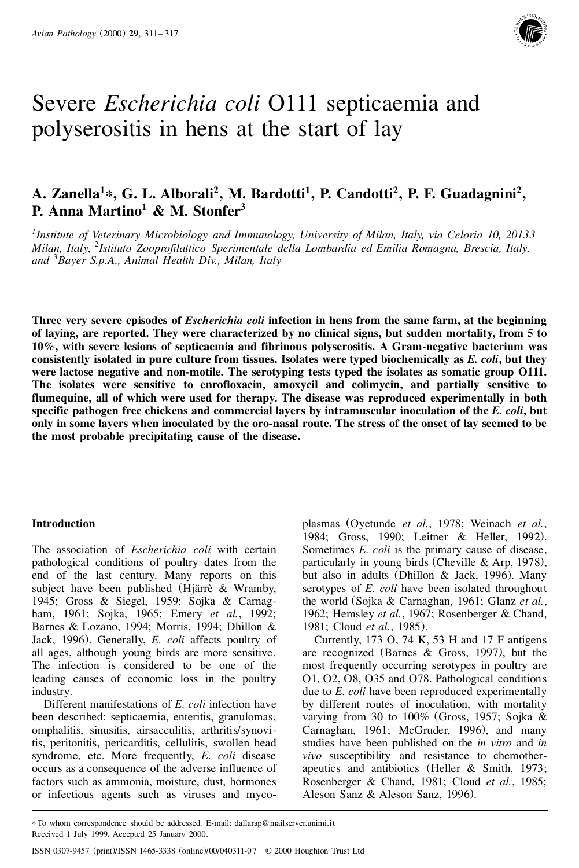

# Severe *Escherichia coli* O111 septicaemia and polyserositis in hens at the start of lay

## **A. Zanella<sup>1</sup>\*, G. L. Alborali<sup>2</sup> , M. Bardotti<sup>1</sup> , P. Candotti<sup>2</sup> , P. F. Guadagnini<sup>2</sup> , P. Anna Martino <sup>1</sup> & M. Stonfer 3**

*1 Institute of Veterinary Microbiology and Immunology, University of Milan, Italy, via Celoria 10, 20133 Milan, Italy*, <sup>2</sup> *Istituto Zooprofilattico Sperimentale della Lombardia ed Emilia Romagna, Brescia, Italy, and* <sup>3</sup>*Bayer S.p.A., Animal Health Div., Milan, Italy*

**Three very severe episodes of** *Escherichia coli* **infection in hens from the same farm, at the beginning of laying, are reported. They were characterized by no clinical signs, but sudden mortality, from 5 to 10%, with severe lesions of septicaemia and fibrinous polyserositis. A Gram-negative bacterium was consistently isolated in pure culture from tissues. Isolates were typed biochemically as** *E. coli***, but they were lactose negative and non-motile. The serotyping tests typed the isolates as somatic group O111. The isolates were sensitive to enrofloxacin, amoxycil and colimycin, and partially sensitive to flumequine, all of which were used for therapy. The disease was reproduced experimentally in both specific pathogen free chickens and commercial layers by intramuscular inoculation of the** *E. coli***, but only in some layers when inoculated by the oro-nasal route. The stress of the onset of lay seemed to be the most probable precipitating cause of the disease.**

## **Introduction**

The association of *Escherichia coli* with certain pathological conditions of poultry dates from the end of the last century. Many reports on this subject have been published (Hjärrè  $&$  Wramby, 1945; Gross & Siegel, 1959; Sojka & Carnag ham, 1961; Sojka, 1965; Emery *et al.*, 1992; Barnes & Lozano, 1994; Morris, 1994; Dhillon & Jack, 1996). Generally, *E. coli* affects poultry of all ages, although young birds are more sensitive. The infection is considered to be one of the leading causes of economic loss in the poultry industry.

Different manifestations of *E. coli* infection have been described: septicaemia, enteritis, granulomas, omphalitis, sinusitis, airsacculitis, arthritis/synovitis, peritonitis, pericarditis, cellulitis, swollen head syndrome, etc. More frequently, *E. coli* disease occurs as a consequence of the adverse influence of factors such as ammonia, moisture, dust, hormones or infectious agents such as viruses and mycoplasmas (Oyetunde *et al.*, 1978; Weinach *et al.*, 1984; Gross, 1990; Leitner & Heller, 1992). Sometimes *E. coli* is the primary cause of disease, particularly in young birds (Cheville & Arp, 1978), but also in adults (Dhillon & Jack, 1996). Many serotypes of *E. coli* have been isolated throughout the world (Sojka & Carnaghan, 1961; Glanz *et al.*, 1962; Hemsley *et al.*, 1967; Rosenberger & Chand, 1981; Cloud *et al.*, 1985).

Currently, 173 O, 74 K, 53 H and 17 F antigens are recognized (Barnes & Gross, 1997), but the most frequently occurring serotypes in poultry are O1, O2, O8, O35 and O78. Pathological conditions due to *E. coli* have been reproduced experimentally by different routes of inoculation, with mortality varying from 30 to 100% (Gross, 1957; Sojka & Carnaghan, 1961; McGruder, 1996), and many studies have been published on the *in vitro* and *in vivo* susceptibility and resistance to chemother-<br>apeutics and antibiotics (Heller & Smith, 1973; Rosenberger & Chand, 1981; Cloud *et al.*, 1985; Aleson Sanz & Aleson Sanz, 1996).

<sup>\*</sup> To whom correspondence should be addressed. E-mail: dallarap@mailserver.unimi.it Received 1 July 1999. Accepted 25 January 2000.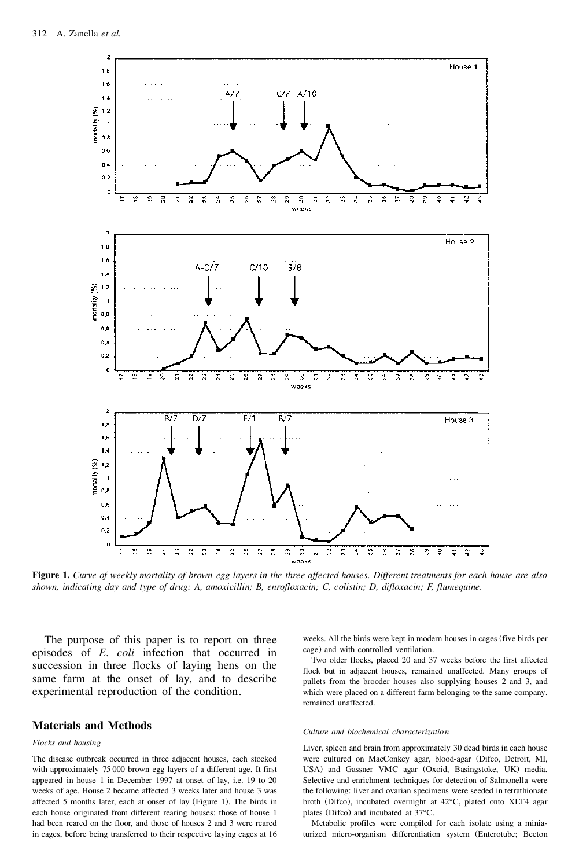

**Figure 1.** *Curve of weekly mortality of brown egg layers in the three affected houses. Different treatments for each house are also shown, indicating day and type of drug: A, amoxicillin; B, enrofloxacin; C, colistin; D, difloxacin; F, flumequine.*

The purpose of this paper is to report on three episodes of *E. coli* infection that occurred in succession in three flocks of laying hens on the same farm at the onset of lay, and to describe experimental reproduction of the condition.

## **Materials and Methods**

### *Flocks and housing*

The disease outbreak occurred in three adjacent houses, each stocked with approximately 75 000 brown egg layers of a different age. It first appeared in house 1 in December 1997 at onset of lay, i.e. 19 to 20 weeks of age. House 2 became affected 3 weeks later and house 3 was affected 5 months later, each at onset of lay (Figure 1). The birds in each house originated from different rearing houses: those of house 1 had been reared on the floor, and those of houses 2 and 3 were reared in cages, before being transferred to their respective laying cages at 16 weeks. All the birds were kept in modern houses in cages (five birds per cage) and with controlled ventilation.

Two older flocks, placed 20 and 37 weeks before the first affected flock but in adjacent houses, remained unaffected. Many groups of pullets from the brooder houses also supplying houses 2 and 3, and which were placed on a different farm belonging to the same company, remained unaffected.

#### *Culture and biochemical characterization*

Liver, spleen and brain from approximately 30 dead birds in each house were cultured on MacConkey agar, blood-agar (Difco, Detroit, MI, USA) and Gassner VMC agar (Oxoid, Basingstoke, UK) media. Selective and enrichment techniques for detection of Salmonella were the following: liver and ovarian specimens were seeded in tetrathionate broth (Difco), incubated overnight at 42°C, plated onto XLT4 agar plates (Difco) and incubated at 37°C.

Metabolic profiles were compiled for each isolate using a miniaturized micro-organism differentiation system (Enterotube; Becton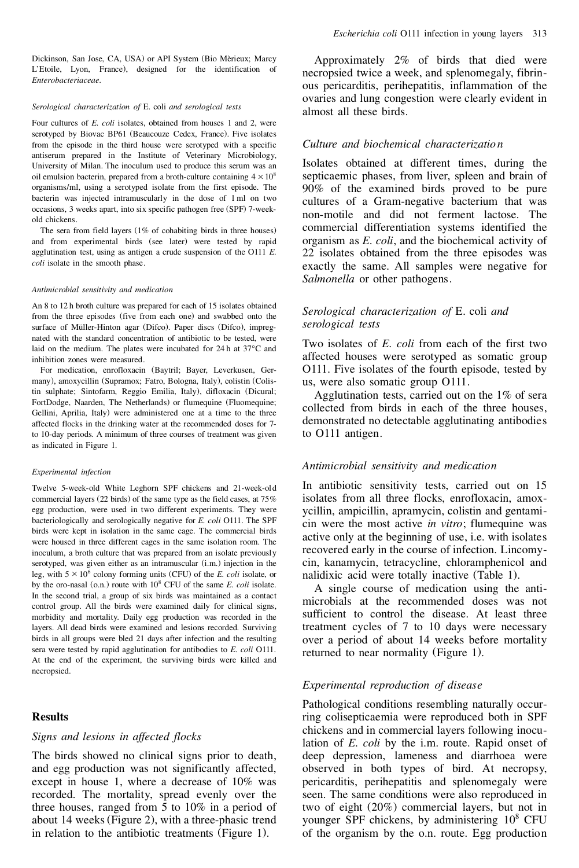#### *Serological characterization of* E. coli *and serological tests*

Four cultures of *E. coli* isolates, obtained from houses 1 and 2, were serotyped by Biovac BP61 (Beaucouze Cedex, France). Five isolates from the episode in the third house were serotyped with a specific antiserum prepared in the Institute of Veterinary Microbiology, University of Milan. The inoculum used to produce this serum was an oil emulsion bacterin, prepared from a broth-culture containing  $4 \times 10^8$ organisms/ml, using a serotyped isolate from the first episode. The bacterin was injected intramuscularly in the dose of 1 ml on two occasions, 3 weeks apart, into six specific pathogen free (SPF) 7-weekold chickens.

The sera from field layers (1% of cohabiting birds in three houses) and from experimental birds (see later) were tested by rapid agglutination test, using as antigen a crude suspension of the O111 *E. coli* isolate in the smooth phase.

#### *Antimicrobial sensitivity and medication*

An 8 to 12 h broth culture was prepared for each of 15 isolates obtained from the three episodes (five from each one) and swabbed onto the surface of Müller-Hinton agar (Difco). Paper discs (Difco), impregnated with the standard concentration of antibiotic to be tested, were laid on the medium. The plates were incubated for 24 h at 37°C and inhibition zones were measured.

For medication, enrofloxacin (Baytril; Bayer, Leverkusen, Ger many), amoxycillin (Supramox; Fatro, Bologna, Italy), colistin (Colistin sulphate; Sintofarm, Reggio Emilia, Italy), difloxacin (Dicural; FortDodge, Naarden, The Netherlands) or flumequine (Fluomequine; Gellini, Aprilia, Italy) were administered one at a time to the three affected flocks in the drinking water at the recommended doses for 7 to 10-day periods. A minimum of three courses of treatment was given as indicated in Figure 1.

#### *Experimental infection*

Twelve 5-week-old White Leghorn SPF chickens and 21-week-old commercial layers (22 birds) of the same type as the field cases, at 75% egg production, were used in two different experiments. They were bacteriologically and serologically negative for *E. coli* O111. The SPF birds were kept in isolation in the same cage. The commercial birds were housed in three different cages in the same isolation room. The inoculum, a broth culture that was prepared from an isolate previously serotyped, was given either as an intramuscular (i.m.) injection in the leg, with  $5 \times 10^6$  colony forming units (CFU) of the *E. coli* isolate, or by the oro-nasal (o.n.) route with 10<sup>8</sup> CFU of the same *E. coli* isolate. In the second trial, a group of six birds was maintained as a contact control group. All the birds were examined daily for clinical signs, morbidity and mortality. Daily egg production was recorded in the layers. All dead birds were examined and lesions recorded. Surviving birds in all groups were bled 21 days after infection and the resulting sera were tested by rapid agglutination for antibodies to *E. coli* O111. At the end of the experiment, the surviving birds were killed and necropsied.

### **Results**

### *Signs and lesions in affected flocks*

The birds showed no clinical signs prior to death, and egg production was not significantly affected, except in house 1, where a decrease of 10% was recorded. The mortality, spread evenly over the three houses, ranged from 5 to 10% in a period of about 14 weeks (Figure 2), with a three-phasic trend in relation to the antibiotic treatments (Figure 1).

Approximately 2% of birds that died were necropsied twice a week, and splenomegaly, fibrin ous pericarditis, perihepatitis, inflammation of the ovaries and lung congestion were clearly evident in almost all these birds.

## *Culture and biochemical characterizatio n*

Isolates obtained at different times, during the septicaemic phases, from liver, spleen and brain of 90% of the examined birds proved to be pure cultures of a Gram-negative bacterium that was non-motile and did not ferment lactose. The commercial differentiation systems identified the organism as *E. coli*, and the biochemical activity of 22 isolates obtained from the three episodes was exactly the same. All samples were negative for *Salmonella* or other pathogens.

## *Serological characterization of* E. coli *and serological tests*

Two isolates of *E. coli* from each of the first two affected houses were serotyped as somatic group O111. Five isolates of the fourth episode, tested by us, were also somatic group O111.

Agglutination tests, carried out on the 1% of sera collected from birds in each of the three houses, demonstrated no detectable agglutinating antibodies to O111 antigen.

## *Antimicrobial sensitivity and medication*

In antibiotic sensitivity tests, carried out on 15 isolates from all three flocks, enrofloxacin, amox ycillin, ampicillin, apramycin, colistin and gentami cin were the most active *in vitro*; flumequine was active only at the beginning of use, i.e. with isolates recovered early in the course of infection. Lincomy cin, kanamycin, tetracycline, chloramphenicol and nalidixic acid were totally inactive (Table 1).

A single course of medication using the anti microbials at the recommended doses was not sufficient to control the disease. At least three treatment cycles of 7 to 10 days were necessary over a period of about 14 weeks before mortality returned to near normality (Figure 1).

## *Experimental reproduction of disease*

Pathological conditions resembling naturally occurring colisepticaemia were reproduced both in SPF chickens and in commercial layers following inoculation of *E. coli* by the i.m. route. Rapid onset of deep depression, lameness and diarrhoea were observed in both types of bird. At necropsy, pericarditis, perihepatitis and splenomegaly were seen. The same conditions were also reproduced in two of eight (20%) commercial layers, but not in younger SPF chickens, by administering  $10^8$  CFU of the organism by the o.n. route. Egg production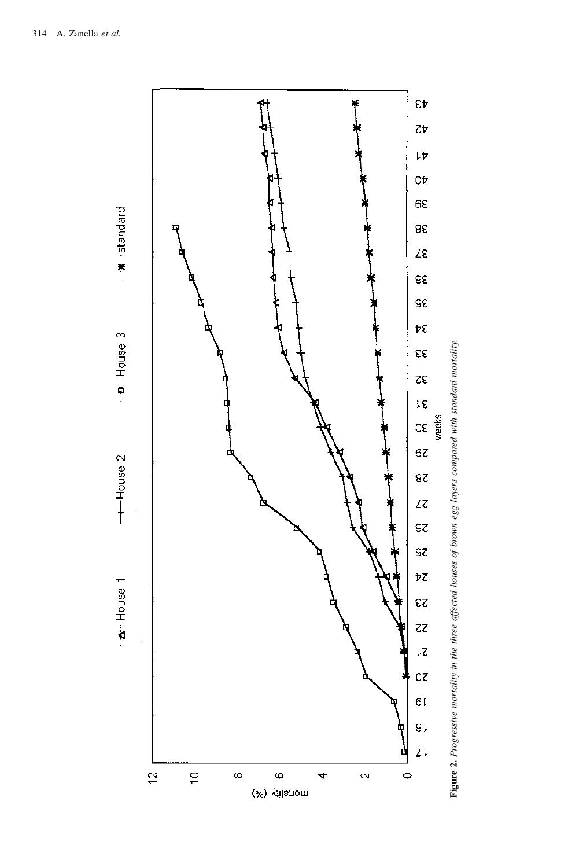

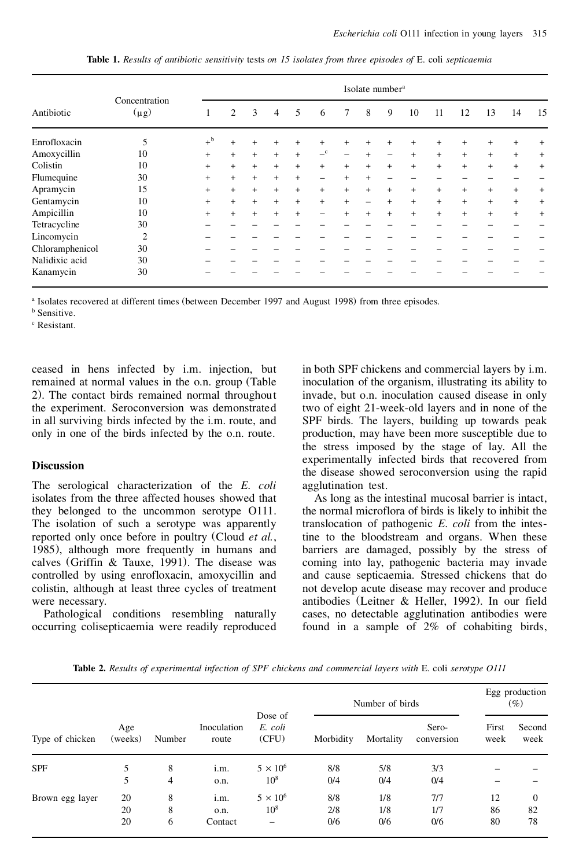| Antibiotic      | Concentration<br>$(\mu g)$ | Isolate number <sup>a</sup> |     |     |                |     |            |           |                          |                          |        |     |        |     |           |                |
|-----------------|----------------------------|-----------------------------|-----|-----|----------------|-----|------------|-----------|--------------------------|--------------------------|--------|-----|--------|-----|-----------|----------------|
|                 |                            |                             | 2   | 3   | $\overline{4}$ | 5   | 6          | 7         | 8                        | 9                        | 10     | 11  | 12     | 13  | 14        | 15             |
| Enrofloxacin    | 5                          | $+^{\rm b}$                 | $+$ | $+$ | $+$            | $+$ | $^{+}$     | $+$       | $+$                      | $+$                      | $^{+}$ | $+$ | $^{+}$ | $+$ | $^{+}$    | $\overline{+}$ |
| Amoxycillin     | 10                         | $+$                         | $+$ | $+$ | $+$            | $+$ | $-{\rm c}$ |           | $+$                      | $\overline{\phantom{m}}$ | $+$    | $+$ | $+$    | $+$ | $+$       | $+$            |
| Colistin        | 10                         | $+$                         | $+$ | $+$ | $+$            | $+$ | $+$        | $\ddot{}$ | $+$                      | $+$                      | $+$    | $+$ | $^{+}$ | $+$ | $+$       | $+$            |
| Flumequine      | 30                         | $+$                         | $+$ | $+$ | $+$            | $+$ | —          | $+$       | $+$                      |                          |        |     |        |     |           |                |
| Apramycin       | 15                         | $+$                         | $+$ | $+$ | $+$            | $+$ | $+$        | $+$       | $+$                      | $+$                      | $+$    | $+$ | $+$    | $+$ | $+$       | $\ddot{}$      |
| Gentamycin      | 10                         | $+$                         | $+$ | $+$ | $+$            | $+$ | $+$        | $+$       | $\overline{\phantom{0}}$ | $+$                      | $+$    | $+$ | $+$    | $+$ | $+$       | $+$            |
| Ampicillin      | 10                         | $\ddot{}$                   | $+$ | $+$ | $+$            | $+$ | —          | $+$       | $+$                      | $+$                      | $+$    | $+$ | $+$    | $+$ | $\ddot{}$ | $+$            |
| Tetracycline    | 30                         |                             |     |     |                |     |            |           |                          |                          |        |     |        |     |           |                |
| Lincomycin      | $\overline{2}$             |                             |     |     |                |     |            |           |                          |                          |        |     |        |     |           |                |
| Chloramphenicol | 30                         |                             |     |     |                |     |            |           |                          |                          |        |     |        |     |           |                |
| Nalidixic acid  | 30                         |                             |     |     |                |     |            |           |                          |                          |        |     |        |     |           |                |
| Kanamycin       | 30                         |                             |     |     |                |     |            |           |                          |                          |        |     |        |     |           |                |

**Table 1.** *Results of antibiotic sensitivity* tests *on 15 isolates from three episodes of* E. coli *septicaemia*

<sup>a</sup> Isolates recovered at different times (between December 1997 and August 1998) from three episodes.

**b** Sensitive.

<sup>c</sup> Resistant.

ceased in hens infected by i.m. injection, but remained at normal values in the o.n. group (Table 2). The contact birds remained normal throughout the experiment. Seroconversion was demonstrated in all surviving birds infected by the i.m. route, and only in one of the birds infected by the o.n. route.

## **Discussion**

The serological characterization of the *E. coli* isolates from the three affected houses showed that they belonged to the uncommon serotype O111. The isolation of such a serotype was apparently reported only once before in poultry (Cloud *et al.*, 1985), although more frequently in humans and calves (Griffin & Tauxe, 1991). The disease was controlled by using enrofloxacin, amoxycillin and colistin, although at least three cycles of treatment were necessary.

Pathological conditions resembling naturally occurring colisepticaemia were readily reproduced in both SPF chickens and commercial layers by i.m. inoculation of the organism, illustrating its ability to invade, but o.n. inoculation caused disease in only two of eight 21-week-old layers and in none of the SPF birds. The layers, building up towards peak production, may have been more susceptible due to the stress imposed by the stage of lay. All the experimentally infected birds that recovered from the disease showed seroconversion using the rapid agglutination test.

As long as the intestinal mucosal barrier is intact, the normal microflora of birds is likely to inhibit the translocation of pathogenic *E. coli* from the intestine to the bloodstream and organs. When these barriers are damaged, possibly by the stress of coming into lay, pathogenic bacteria may invade and cause septicaemia. Stressed chickens that do not develop acute disease may recover and produce antibodies (Leitner & Heller, 1992). In our field cases, no detectable agglutination antibodies were found in a sample of 2% of cohabiting birds,

| Type of chicken |                |        | Inoculation<br>route | Dose of<br>E. coli<br>(CFU) | Number of birds | Egg production<br>$(\%)$ |                     |               |                |
|-----------------|----------------|--------|----------------------|-----------------------------|-----------------|--------------------------|---------------------|---------------|----------------|
|                 | Age<br>(weeks) | Number |                      |                             | Morbidity       | Mortality                | Sero-<br>conversion | First<br>week | Second<br>week |
| <b>SPF</b>      | 5              | 8      | i.m.                 | $5 \times 10^6$             | 8/8             | 5/8                      | 3/3                 |               |                |
|                 | 5              | 4      | o.n.                 | $10^{8}$                    | 0/4             | 0/4                      | 0/4                 |               |                |
| Brown egg layer | 20             | 8      | i.m.                 | $5 \times 10^6$             | 8/8             | 1/8                      | 7/7                 | 12            | $\overline{0}$ |
|                 | 20             | 8      | o.n.                 | $10^{8}$                    | 2/8             | 1/8                      | 1/7                 | 86            | 82             |
|                 | 20             | 6      | Contact              | $\overline{\phantom{0}}$    | 0/6             | 0/6                      | 0/6                 | 80            | 78             |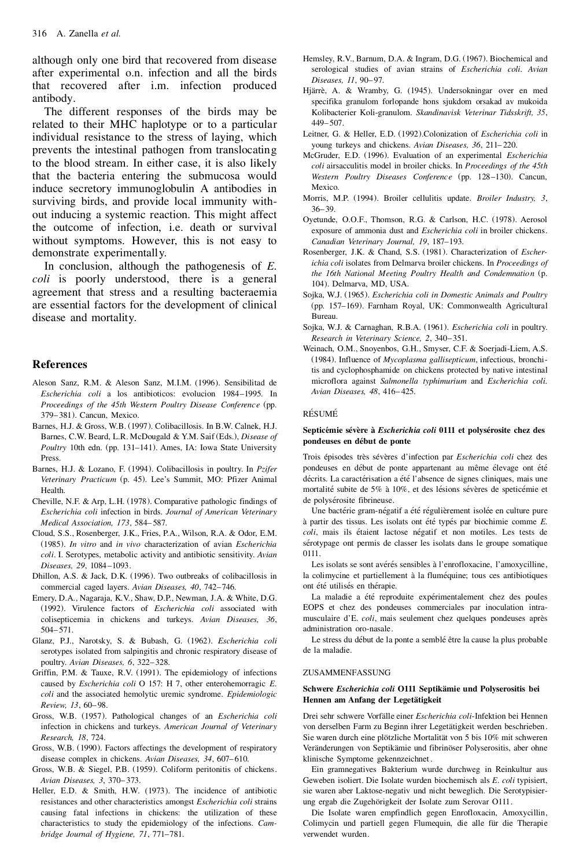although only one bird that recovered from disease after experimental o.n. infection and all the birds that recovered after i.m. infection produced antibody.

The different responses of the birds may be related to their MHC haplotype or to a particular individual resistance to the stress of laying, which prevents the intestinal pathogen from translocating to the blood stream. In either case, it is also likely that the bacteria entering the submucosa would induce secretory immunoglobulin A antibodies in surviving birds, and provide local immunity with out inducing a systemic reaction. This might affect the outcome of infection, i.e. death or survival without symptoms. However, this is not easy to demonstrate experimentally.

In conclusion, although the pathogenesis of *E. coli* is poorly understood, there is a general agreement that stress and a resulting bacteraemia are essential factors for the development of clinical disease and mortality.

## **References**

- Aleson Sanz, R.M. & Aleson Sanz, M.I.M. (1996). Sensibilitad de *Escherichia coli* a los antibioticos: evolucion 1984–1995. In *Proceedings of the 45th Western Poultry Disease Conference* (pp. 379–381). Cancun, Mexico.
- Barnes, H.J. & Gross, W.B. (1997). Colibacillosis. In B.W. Calnek, H.J. Barnes, C.W. Beard, L.R. McDougald & Y.M. Saif (Eds.), *Disease of Poultry* 10th edn. (pp. 131–141). Ames, IA: Iowa State University Press.
- Barnes, H.J. & Lozano, F. (1994). Colibacillosis in poultry. In *Pzifer Veterinary Practicum* (p. 45). Lee's Summit, MO: Pfizer Animal Health.
- Cheville, N.F. & Arp, L.H. (1978). Comparative pathologic findings of *Escherichia coli* infection in birds. *Journal of American Veterinary Medical Association, 173*, 584– 587.
- Cloud, S.S., Rosenberger, J.K., Fries, P.A., Wilson, R.A. & Odor, E.M. (1985). *In vitro* and *in vivo* characterization of avian *Escherichia coli*. I. Serotypes, metabolic activity and antibiotic sensitivity. *Avian Diseases, 29*, 1084–1093.
- Dhillon, A.S. & Jack, D.K. (1996). Two outbreaks of colibacillosis in commercial caged layers. *Avian Diseases, 40*, 742–746.
- Emery, D.A., Nagaraja, K.V., Shaw, D.P., Newman, J.A. & White, D.G. (1992). Virulence factors of *Escherichia coli* associated with colisepticemia in chickens and turkeys. *Avian Diseases, 36*, 504–571.
- Glanz, P.J., Narotsky, S. & Bubash, G. (1962). *Escherichia coli* serotypes isolated from salpingitis and chronic respiratory disease of poultry. *Avian Diseases, 6*, 322–328.
- Griffin, P.M. & Tauxe, R.V. (1991). The epidemiology of infections caused by *Escherichia coli* O 157: H 7, other enterohemorragic *E. coli* and the associated hemolytic uremic syndrome. *Epidemiologic Review, 13*, 60– 98.
- Gross, W.B. (1957). Pathological changes of an *Escherichia coli* infection in chickens and turkeys. *American Journal of Veterinary Research, 18*, 724.
- Gross, W.B. (1990). Factors affectings the development of respiratory disease complex in chickens. *Avian Diseases*, 34, 607-610.
- Gross, W.B. & Siegel, P.B. (1959). Coliform peritonitis of chickens. *Avian Diseases, 3*, 370– 373.
- Heller, E.D. & Smith, H.W. (1973). The incidence of antibiotic resistances and other characteristics amongst *Escherichia coli* strains causing fatal infections in chickens: the utilization of these characteristics to study the epidemiology of the infections. *Cambridge Journal of Hygiene, 71*, 771–781.
- Hemsley, R.V., Barnum, D.A. & Ingram, D.G. (1967). Biochemical and serological studies of avian strains of *Escherichia coli. Avian Diseases, 11*, 90-97.
- Hjärrè, A. & Wramby, G. (1945). Undersokningar over en med specifika granulom forlopande hons sjukdom orsakad av mukoida Kolibacterier Koli-granulom. *Skandinavisk Veterinar Tidsskrift, 35*, 449–507.
- Leitner, G. & Heller, E.D. (1992).Colonization of *Escherichia coli* in young turkeys and chickens. *Avian Diseases, 36*, 211– 220.
- McGruder, E.D. (1996). Evaluation of an experimental *Escherichia coli* airsacculitis model in broiler chicks. In *Proceedings of the 45th Western Poultry Diseases Conference* (pp. 128–130). Cancun, Mexico.
- Morris, M.P. (1994). Broiler cellulitis update. *Broiler Industry, 3*, 36– 39.
- Oyetunde, O.O.F., Thomson, R.G. & Carlson, H.C. (1978). Aerosol exposure of ammonia dust and *Escherichia coli* in broiler chickens. *Canadian Veterinary Journal, 19*, 187–193.
- Rosenberger, J.K. & Chand, S.S. (1981). Characterization of *Escherichia coli* isolates from Delmarva broiler chickens. In *Proceedings of the 16th National Meeting Poultry Health and Condemnation* (p. 104). Delmarva, MD, USA.
- Sojka, W.J. (1965). *Escherichia coli in Domestic Animals and Poultry* (pp. 157–169). Farnham Royal, UK: Commonwealth Agricultural Bureau.
- Sojka, W.J. & Carnaghan, R.B.A. (1961). *Escherichia coli* in poultry. *Research in Veterinary Science, 2*, 340–351.
- Weinach, O.M., Snoyenbos, G.H., Smyser, C.F. & Soerjadi-Liem, A.S. (1984). Influence of *Mycoplasma gallisepticum*, infectious, bronchitis and cyclophosphamide on chickens protected by native intestinal microflora against *Salmonella typhimurium* and *Escherichia coli. Avian Diseases, 48*, 416– 425.

#### **RÉSUMÉ**

#### Septicémie sévère à *Escherichia coli* 0111 et polysérosite chez des pondeuses en début de ponte

Trois épisodes très sévères d'infection par *Escherichia coli* chez des pondeuses en début de ponte appartenant au même élevage ont été décrits. La caractérisation a été l'absence de signes cliniques, mais une mortalité subite de 5% à 10%, et des lésions sévères de speticémie et de polysérosite fibrineuse.

Une bactérie gram-négatif a été régulièrement isolée en culture pure à partir des tissus. Les isolats ont été typés par biochimie comme *E*. coli, mais ils étaient lactose négatif et non motiles. Les tests de sérotypage ont permis de classer les isolats dans le groupe somatique 0111.

Les isolats se sont avérés sensibles à l'enrofloxacine, l'amoxycilline, la colimycine et partiellement à la fluméquine; tous ces antibiotiques ont été utilisés en thérapie.

La maladie a été reproduite expérimentalement chez des poules EOPS et chez des pondeuses commerciales par inoculation intra musculaire d'E. *coli*, mais seulement chez quelques pondeuses après administration oro-nasale.

Le stress du début de la ponte a semblé être la cause la plus probable de la maladie.

#### **ZUSAMMENFASSUNG**

#### **Schwere** *Escherichia coli* **O111 Septikamie ¨ und Polyserositis bei Hennen am Anfang der Legetatigkeit ¨**

Drei sehr schwere Vorfälle einer *Escherichia coli*-Infektion bei Hennen von derselben Farm zu Beginn ihrer Legetätigkeit werden beschrieben. Sie waren durch eine plötzliche Mortalität von 5 bis 10% mit schweren Veränderungen von Septikämie und fibrinöser Polyserositis, aber ohne klinische Symptome gekennzeichnet .

Ein gramnegatives Bakterium wurde durchweg in Reinkultur aus Geweben isoliert. Die Isolate wurden biochemisch als *E. coli* typisiert, sie waren aber Laktose-negativ und nicht beweglich. Die Serotypisier ung ergab die Zugehörigkeit der Isolate zum Serovar O111.

Die Isolate waren empfindlich gegen Enrofloxacin, Amoxycillin, Colimycin und partiell gegen Flumequin, die alle für die Therapie verwendet wurden.